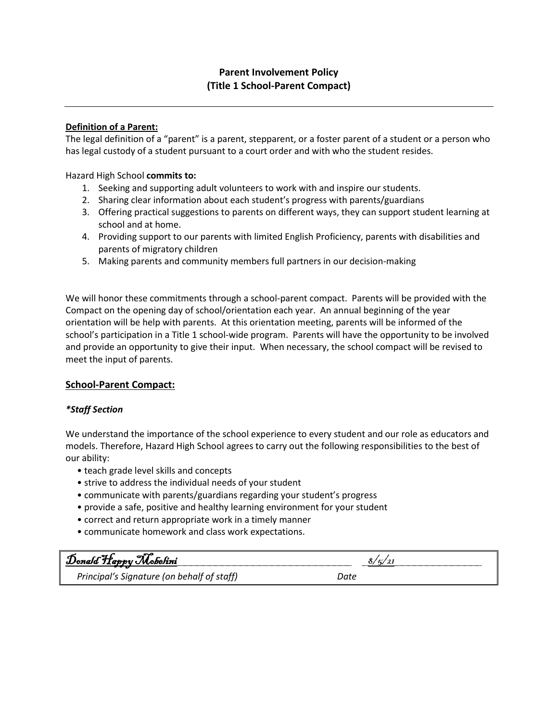# **Definition of a Parent:**

The legal definition of a "parent" is a parent, stepparent, or a foster parent of a student or a person who has legal custody of a student pursuant to a court order and with who the student resides.

Hazard High School **commits to:**

- 1. Seeking and supporting adult volunteers to work with and inspire our students.
- 2. Sharing clear information about each student's progress with parents/guardians
- 3. Offering practical suggestions to parents on different ways, they can support student learning at school and at home.
- 4. Providing support to our parents with limited English Proficiency, parents with disabilities and parents of migratory children
- 5. Making parents and community members full partners in our decision-making

We will honor these commitments through a school-parent compact. Parents will be provided with the Compact on the opening day of school/orientation each year. An annual beginning of the year orientation will be help with parents. At this orientation meeting, parents will be informed of the school's participation in a Title 1 school-wide program. Parents will have the opportunity to be involved and provide an opportunity to give their input. When necessary, the school compact will be revised to meet the input of parents.

# **School-Parent Compact:**

## *\*Staff Section*

We understand the importance of the school experience to every student and our role as educators and models. Therefore, Hazard High School agrees to carry out the following responsibilities to the best of our ability:

- teach grade level skills and concepts
- strive to address the individual needs of your student
- communicate with parents/guardians regarding your student's progress
- provide a safe, positive and healthy learning environment for your student
- correct and return appropriate work in a timely manner
- communicate homework and class work expectations.

| Donald Happy Mobelini                      | 6/5/ |
|--------------------------------------------|------|
| Principal's Signature (on behalf of staff) | Date |